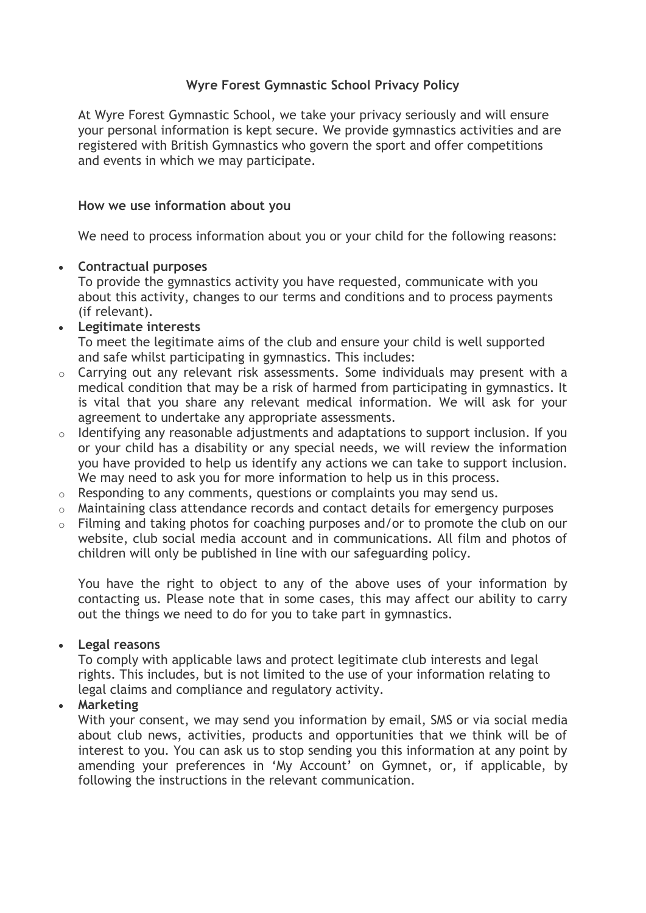# **Wyre Forest Gymnastic School Privacy Policy**

At Wyre Forest Gymnastic School, we take your privacy seriously and will ensure your personal information is kept secure. We provide gymnastics activities and are registered with British Gymnastics who govern the sport and offer competitions and events in which we may participate.

#### **How we use information about you**

We need to process information about you or your child for the following reasons:

# **Contractual purposes**

To provide the gymnastics activity you have requested, communicate with you about this activity, changes to our terms and conditions and to process payments (if relevant).

# **Legitimate interests**

To meet the legitimate aims of the club and ensure your child is well supported and safe whilst participating in gymnastics. This includes:

- o Carrying out any relevant risk assessments. Some individuals may present with a medical condition that may be a risk of harmed from participating in gymnastics. It is vital that you share any relevant medical information. We will ask for your agreement to undertake any appropriate assessments.
- $\circ$  Identifying any reasonable adjustments and adaptations to support inclusion. If you or your child has a disability or any special needs, we will review the information you have provided to help us identify any actions we can take to support inclusion. We may need to ask you for more information to help us in this process.
- o Responding to any comments, questions or complaints you may send us.
- $\circ$  Maintaining class attendance records and contact details for emergency purposes
- o Filming and taking photos for coaching purposes and/or to promote the club on our website, club social media account and in communications. All film and photos of children will only be published in line with our safeguarding policy.

You have the right to object to any of the above uses of your information by contacting us. Please note that in some cases, this may affect our ability to carry out the things we need to do for you to take part in gymnastics.

# **Legal reasons**

To comply with applicable laws and protect legitimate club interests and legal rights. This includes, but is not limited to the use of your information relating to legal claims and compliance and regulatory activity.

# **Marketing**

With your consent, we may send you information by email, SMS or via social media about club news, activities, products and opportunities that we think will be of interest to you. You can ask us to stop sending you this information at any point by amending your preferences in 'My Account' on Gymnet, or, if applicable, by following the instructions in the relevant communication.